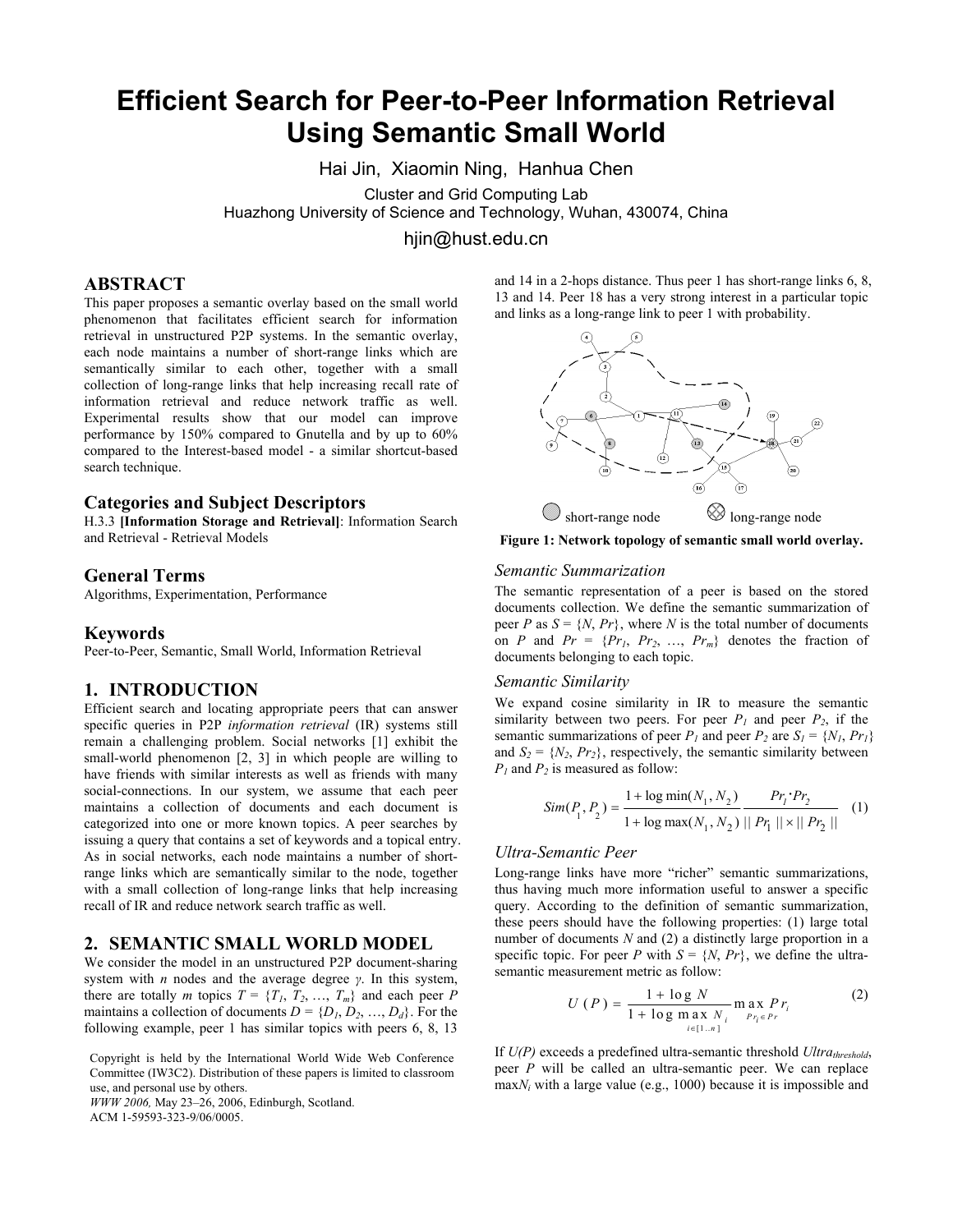# **Efficient Search for Peer-to-Peer Information Retrieval Using Semantic Small World**

Hai Jin, Xiaomin Ning, Hanhua Chen

Cluster and Grid Computing Lab Huazhong University of Science and Technology, Wuhan, 430074, China

hjin@hust.edu.cn

# **ABSTRACT**

This paper proposes a semantic overlay based on the small world phenomenon that facilitates efficient search for information retrieval in unstructured P2P systems. In the semantic overlay, each node maintains a number of short-range links which are semantically similar to each other, together with a small collection of long-range links that help increasing recall rate of information retrieval and reduce network traffic as well. Experimental results show that our model can improve performance by 150% compared to Gnutella and by up to 60% compared to the Interest-based model - a similar shortcut-based search technique.

## **Categories and Subject Descriptors**

H.3.3 **[Information Storage and Retrieval]**: Information Search and Retrieval - Retrieval Models

# **General Terms**

Algorithms, Experimentation, Performance

### **Keywords**

Peer-to-Peer, Semantic, Small World, Information Retrieval

## **1. INTRODUCTION**

Efficient search and locating appropriate peers that can answer specific queries in P2P *information retrieval* (IR) systems still remain a challenging problem. Social networks [1] exhibit the small-world phenomenon [2, 3] in which people are willing to have friends with similar interests as well as friends with many social-connections. In our system, we assume that each peer maintains a collection of documents and each document is categorized into one or more known topics. A peer searches by issuing a query that contains a set of keywords and a topical entry. As in social networks, each node maintains a number of shortrange links which are semantically similar to the node, together with a small collection of long-range links that help increasing recall of IR and reduce network search traffic as well.

# **2. SEMANTIC SMALL WORLD MODEL**

We consider the model in an unstructured P2P document-sharing system with *n* nodes and the average degree *γ*. In this system, there are totally *m* topics  $T = \{T_1, T_2, \ldots, T_m\}$  and each peer *P* maintains a collection of documents  $D = \{D_1, D_2, ..., D_d\}$ . For the following example, peer 1 has similar topics with peers 6, 8, 13

Copyright is held by the International World Wide Web Conference Committee (IW3C2). Distribution of these papers is limited to classroom use, and personal use by others.

*WWW 2006,* May 23–26, 2006, Edinburgh, Scotland. ACM 1-59593-323-9/06/0005.

and 14 in a 2-hops distance. Thus peer 1 has short-range links 6, 8, 13 and 14. Peer 18 has a very strong interest in a particular topic and links as a long-range link to peer 1 with probability.



**Figure 1: Network topology of semantic small world overlay.** 

#### *Semantic Summarization*

The semantic representation of a peer is based on the stored documents collection. We define the semantic summarization of peer *P* as  $S = \{N, Pr\}$ , where *N* is the total number of documents on *P* and  $Pr = \{Pr_1, Pr_2, ..., Pr_m\}$  denotes the fraction of documents belonging to each topic.

#### *Semantic Similarity*

We expand cosine similarity in IR to measure the semantic similarity between two peers. For peer  $P_1$  and peer  $P_2$ , if the semantic summarizations of peer  $P_1$  and peer  $P_2$  are  $S_1 = \{N_1, Pr_1\}$ and  $S_2 = \{N_2, Pr_2\}$ , respectively, the semantic similarity between  $P_1$  and  $P_2$  is measured as follow:

$$
Sim(P_1, P_2) = \frac{1 + \log min(N_1, N_2)}{1 + \log max(N_1, N_2)} \frac{Pr_1 \cdot Pr_2}{\| Pr_1 \| \times \| Pr_2 \|}
$$
 (1)

#### *Ultra-Semantic Peer*

Long-range links have more "richer" semantic summarizations, thus having much more information useful to answer a specific query. According to the definition of semantic summarization, these peers should have the following properties: (1) large total number of documents *N* and (2) a distinctly large proportion in a specific topic. For peer *P* with  $S = \{N, Pr\}$ , we define the ultrasemantic measurement metric as follow:

$$
U(P) = \frac{1 + \log N}{1 + \log \max_{i \in [1..n]} N_i} \max_{P r_i \in Pr} P r_i
$$
 (2)

If  $U(P)$  exceeds a predefined ultra-semantic threshold  $Ultra_{threshold}$ , peer *P* will be called an ultra-semantic peer. We can replace max*Ni* with a large value (e.g., 1000) because it is impossible and